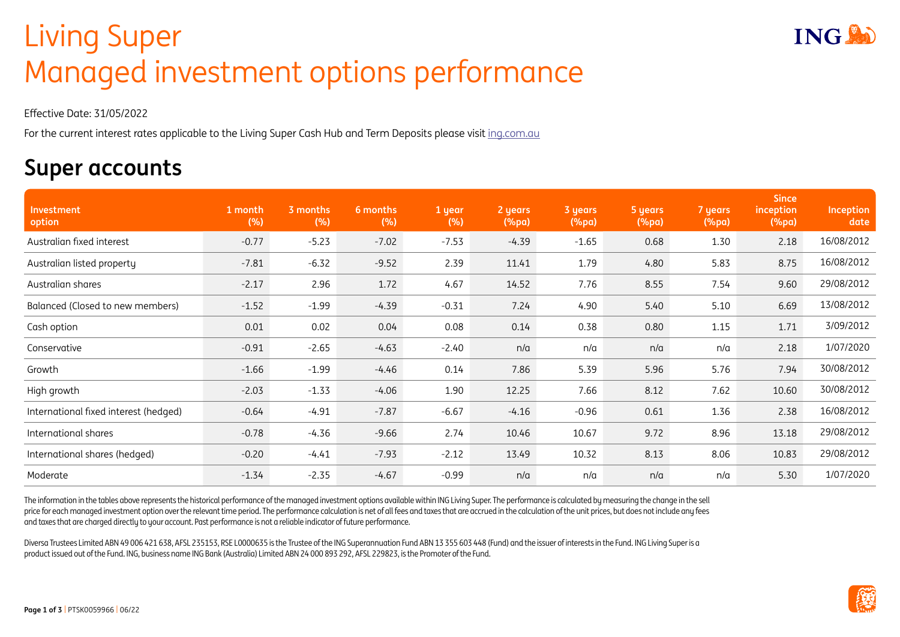## Living Super Living Super Managed investment options performance

Effective Date: 31/05/2022

For the current interest rates applicable to the Living Super Cash Hub and Term Deposits please visit [ing.com.au](http://ing.com.au)

## **Super accounts**

| Investment<br>option                  | 1 month<br>(%) | 3 months<br>(%) | 6 months<br>(%) | 1 year<br>(%) | 2 years<br>$(\%pa)$ | 3 years<br>(%pa) | 5 years<br>(%pa) | 7 years<br>(%pa) | <b>Since</b><br>inception<br>(%pa) | Inception<br>date |
|---------------------------------------|----------------|-----------------|-----------------|---------------|---------------------|------------------|------------------|------------------|------------------------------------|-------------------|
| Australian fixed interest             | $-0.77$        | $-5.23$         | $-7.02$         | $-7.53$       | $-4.39$             | $-1.65$          | 0.68             | 1.30             | 2.18                               | 16/08/2012        |
| Australian listed property            | $-7.81$        | $-6.32$         | $-9.52$         | 2.39          | 11.41               | 1.79             | 4.80             | 5.83             | 8.75                               | 16/08/2012        |
| Australian shares                     | $-2.17$        | 2.96            | 1.72            | 4.67          | 14.52               | 7.76             | 8.55             | 7.54             | 9.60                               | 29/08/2012        |
| Balanced (Closed to new members)      | $-1.52$        | $-1.99$         | $-4.39$         | $-0.31$       | 7.24                | 4.90             | 5.40             | 5.10             | 6.69                               | 13/08/2012        |
| Cash option                           | 0.01           | 0.02            | 0.04            | 0.08          | 0.14                | 0.38             | 0.80             | 1.15             | 1.71                               | 3/09/2012         |
| Conservative                          | $-0.91$        | $-2.65$         | $-4.63$         | $-2.40$       | n/a                 | n/a              | n/a              | n/a              | 2.18                               | 1/07/2020         |
| Growth                                | $-1.66$        | $-1.99$         | $-4.46$         | 0.14          | 7.86                | 5.39             | 5.96             | 5.76             | 7.94                               | 30/08/2012        |
| High growth                           | $-2.03$        | $-1.33$         | $-4.06$         | 1.90          | 12.25               | 7.66             | 8.12             | 7.62             | 10.60                              | 30/08/2012        |
| International fixed interest (hedged) | $-0.64$        | $-4.91$         | $-7.87$         | $-6.67$       | $-4.16$             | $-0.96$          | 0.61             | 1.36             | 2.38                               | 16/08/2012        |
| International shares                  | $-0.78$        | $-4.36$         | $-9.66$         | 2.74          | 10.46               | 10.67            | 9.72             | 8.96             | 13.18                              | 29/08/2012        |
| International shares (hedged)         | $-0.20$        | $-4.41$         | $-7.93$         | $-2.12$       | 13.49               | 10.32            | 8.13             | 8.06             | 10.83                              | 29/08/2012        |
| Moderate                              | $-1.34$        | $-2.35$         | $-4.67$         | $-0.99$       | n/a                 | n/a              | n/a              | n/a              | 5.30                               | 1/07/2020         |

The information in the tables above represents the historical performance of the managed investment options available within ING Living Super. The performance is calculated by measuring the change in the sell price for each managed investment option over the relevant time period. The performance calculation is net of all fees and taxes that are accrued in the calculation of the unit prices, but does not include any fees and taxes that are charged directly to your account. Past performance is not a reliable indicator of future performance.

Diversa Trustees Limited ABN 49 006 421 638, AFSL 235153, RSE L0000635 is the Trustee of the ING Superannuation Fund ABN 13 355 603 448 (Fund) and the issuer of interests in the Fund. ING Living Super is a product issued out of the Fund. ING, business name ING Bank (Australia) Limited ABN 24 000 893 292, AFSL 229823, is the Promoter of the Fund.

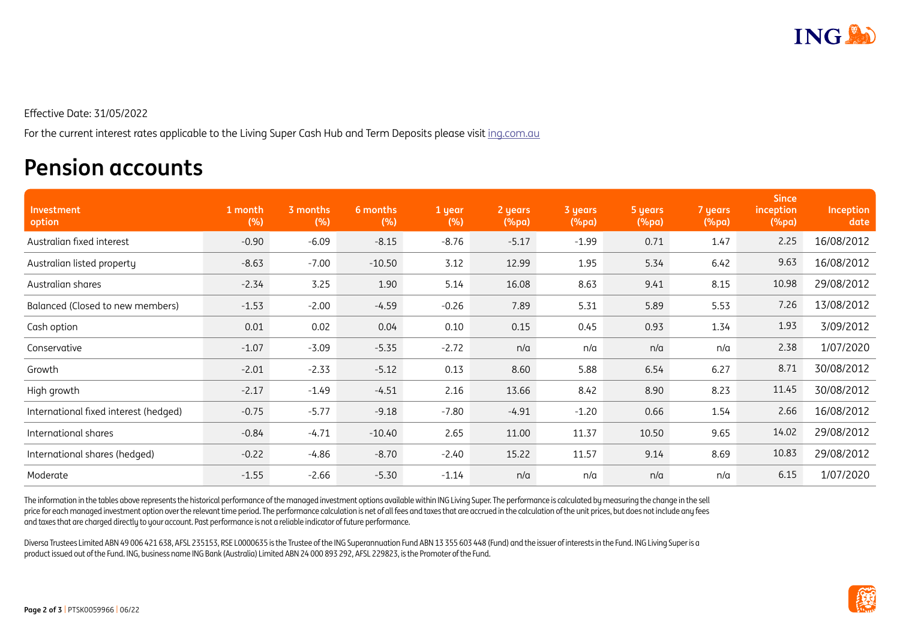

Effective Date: 31/05/2022

For the current interest rates applicable to the Living Super Cash Hub and Term Deposits please visit [ing.com.au](http://ing.com.au)

## **Pension accounts**

| Investment<br>option                  | 1 month<br>(%) | 3 months<br>(%) | 6 months<br>(%) | 1 year<br>(%) | 2 years<br>$(\%pa)$ | 3 years<br>(%pa) | 5 years<br>$(\%pa)$ | 7 years<br>$(\%pa)$ | <b>Since</b><br>inception<br>$(\%pa)$ | Inception<br>date |
|---------------------------------------|----------------|-----------------|-----------------|---------------|---------------------|------------------|---------------------|---------------------|---------------------------------------|-------------------|
| Australian fixed interest             | $-0.90$        | $-6.09$         | $-8.15$         | $-8.76$       | $-5.17$             | $-1.99$          | 0.71                | 1.47                | 2.25                                  | 16/08/2012        |
| Australian listed property            | $-8.63$        | $-7.00$         | $-10.50$        | 3.12          | 12.99               | 1.95             | 5.34                | 6.42                | 9.63                                  | 16/08/2012        |
| Australian shares                     | $-2.34$        | 3.25            | 1.90            | 5.14          | 16.08               | 8.63             | 9.41                | 8.15                | 10.98                                 | 29/08/2012        |
| Balanced (Closed to new members)      | $-1.53$        | $-2.00$         | $-4.59$         | $-0.26$       | 7.89                | 5.31             | 5.89                | 5.53                | 7.26                                  | 13/08/2012        |
| Cash option                           | 0.01           | 0.02            | 0.04            | 0.10          | 0.15                | 0.45             | 0.93                | 1.34                | 1.93                                  | 3/09/2012         |
| Conservative                          | $-1.07$        | $-3.09$         | $-5.35$         | $-2.72$       | n/a                 | n/a              | n/a                 | n/a                 | 2.38                                  | 1/07/2020         |
| Growth                                | $-2.01$        | $-2.33$         | $-5.12$         | 0.13          | 8.60                | 5.88             | 6.54                | 6.27                | 8.71                                  | 30/08/2012        |
| High growth                           | $-2.17$        | $-1.49$         | $-4.51$         | 2.16          | 13.66               | 8.42             | 8.90                | 8.23                | 11.45                                 | 30/08/2012        |
| International fixed interest (hedged) | $-0.75$        | $-5.77$         | $-9.18$         | $-7.80$       | $-4.91$             | $-1.20$          | 0.66                | 1.54                | 2.66                                  | 16/08/2012        |
| International shares                  | $-0.84$        | $-4.71$         | $-10.40$        | 2.65          | 11.00               | 11.37            | 10.50               | 9.65                | 14.02                                 | 29/08/2012        |
| International shares (hedged)         | $-0.22$        | $-4.86$         | $-8.70$         | $-2.40$       | 15.22               | 11.57            | 9.14                | 8.69                | 10.83                                 | 29/08/2012        |
| Moderate                              | $-1.55$        | $-2.66$         | $-5.30$         | $-1.14$       | n/a                 | n/a              | n/a                 | n/a                 | 6.15                                  | 1/07/2020         |

The information in the tables above represents the historical performance of the managed investment options available within ING Living Super. The performance is calculated by measuring the change in the sell price for each managed investment option over the relevant time period. The performance calculation is net of all fees and taxes that are accrued in the calculation of the unit prices, but does not include any fees and taxes that are charged directly to your account. Past performance is not a reliable indicator of future performance.

Diversa Trustees Limited ABN 49 006 421 638, AFSL 235153, RSE L0000635 is the Trustee of the ING Superannuation Fund ABN 13 355 603 448 (Fund) and the issuer of interests in the Fund. ING Living Super is a product issued out of the Fund. ING, business name ING Bank (Australia) Limited ABN 24 000 893 292, AFSL 229823, is the Promoter of the Fund.